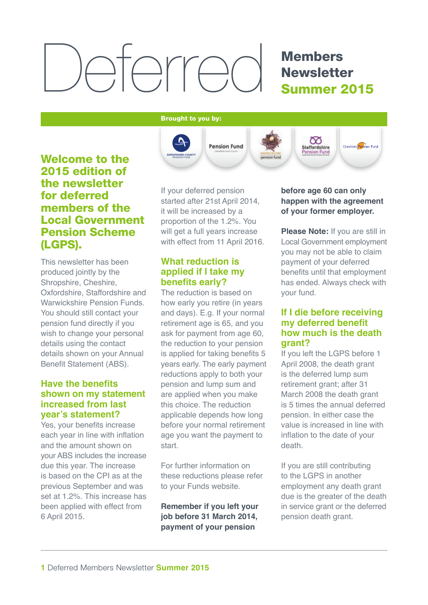# Deferred

### Members **Newsletter** Summer 2015

#### Brought to you by:



#### **Welcome to the** 2015 edition of the newsletter for deferred members of the Local Government Pension Scheme (LGPS).

This newsletter has been produced jointly by the Shropshire, Cheshire, Oxfordshire, Staffordshire and Warwickshire Pension Funds. You should still contact your pension fund directly if you wish to change your personal details using the contact details shown on your Annual Benefit Statement (ABS).

#### **Have the benefits shown on my statement increased from last year's statement?**

Yes, your benefits increase each year in line with inflation and the amount shown on your ABS includes the increase due this year. The increase is based on the CPI as at the previous September and was set at 1.2%. This increase has been applied with effect from 6 April 2015.

If your deferred pension started after 21st April 2014, it will be increased by a proportion of the 1.2%. You will get a full years increase with effect from 11 April 2016.

#### **What reduction is applied if I take my benefits early?**

The reduction is based on how early you retire (in years and days). E.g. If your normal retirement age is 65, and you ask for payment from age 60, the reduction to your pension is applied for taking benefits 5 years early. The early payment reductions apply to both your pension and lump sum and are applied when you make this choice. The reduction applicable depends how long before your normal retirement age you want the payment to start.

For further information on these reductions please refer to your Funds website.

**Remember if you left your job before 31 March 2014, payment of your pension** 

#### **before age 60 can only happen with the agreement of your former employer.**

**Please Note:** If you are still in Local Government employment you may not be able to claim payment of your deferred benefits until that employment has ended. Always check with your fund.

#### **If I die before receiving my deferred benefit how much is the death grant?**

If you left the LGPS before 1 April 2008, the death grant is the deferred lump sum retirement grant; after 31 March 2008 the death grant is 5 times the annual deferred pension. In either case the value is increased in line with inflation to the date of your death.

If you are still contributing to the LGPS in another employment any death grant due is the greater of the death in service grant or the deferred pension death grant.